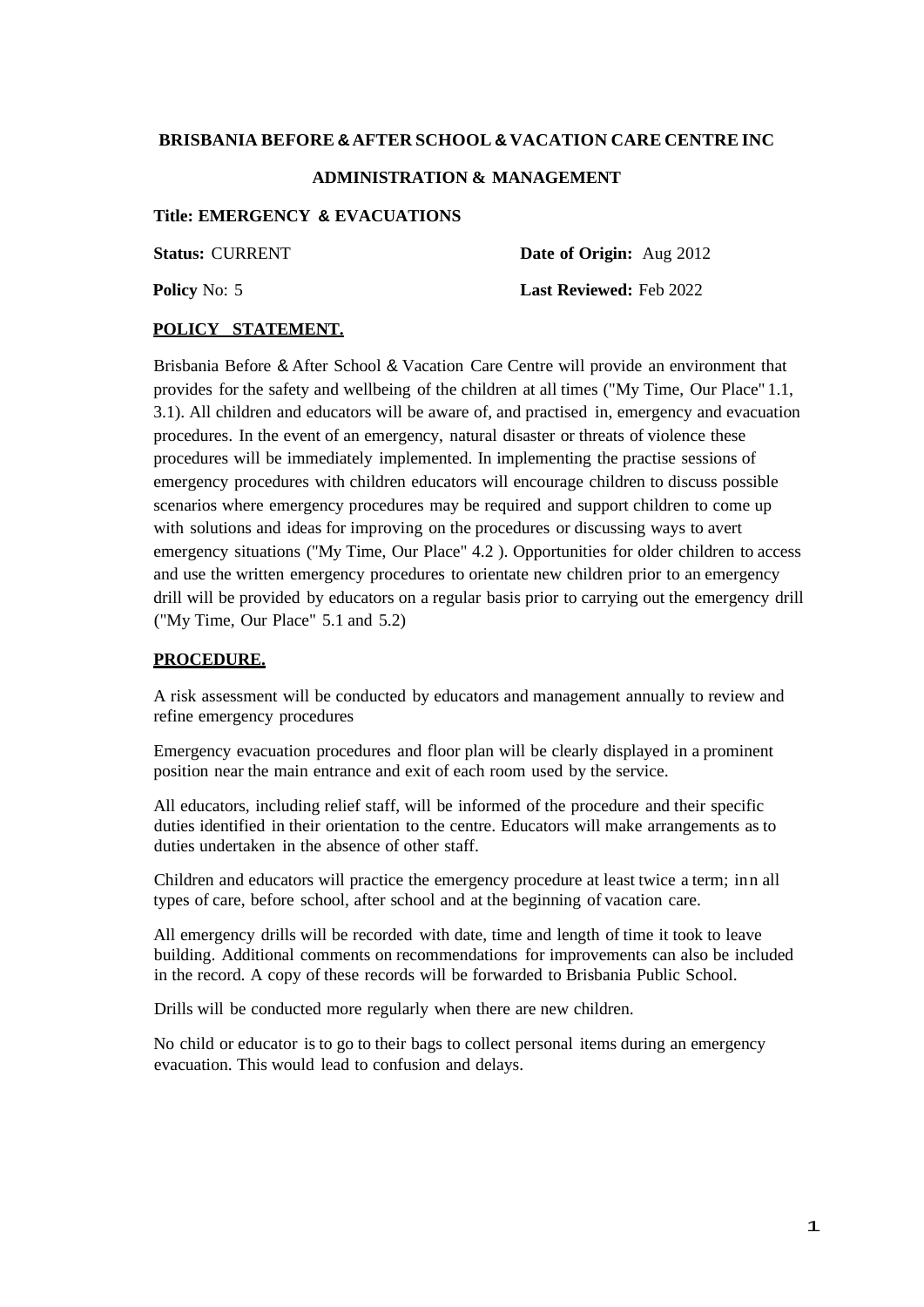### **BRISBANIA BEFORE &AFTER SCHOOL & VACATION CARE CENTRE INC**

#### **ADMINISTRATION & MANAGEMENT**

# **Title: EMERGENCY & EVACUATIONS**

**Status:** CURRENT **Date of Origin:** Aug 2012

**Policy** No: 5 **Last Reviewed:** Feb 2022

#### **POLICY STATEMENT.**

Brisbania Before & After School & Vacation Care Centre will provide an environment that provides for the safety and wellbeing of the children at all times ("My Time, Our Place" 1.1, 3.1). All children and educators will be aware of, and practised in, emergency and evacuation procedures. In the event of an emergency, natural disaster or threats of violence these procedures will be immediately implemented. In implementing the practise sessions of emergency procedures with children educators will encourage children to discuss possible scenarios where emergency procedures may be required and support children to come up with solutions and ideas for improving on the procedures or discussing ways to avert emergency situations ("My Time, Our Place" 4.2). Opportunities for older children to access and use the written emergency procedures to orientate new children prior to an emergency drill will be provided by educators on a regular basis prior to carrying out the emergency drill ("My Time, Our Place" 5.1 and 5.2)

#### **PROCEDURE.**

A risk assessment will be conducted by educators and management annually to review and refine emergency procedures

Emergency evacuation procedures and floor plan will be clearly displayed in a prominent position near the main entrance and exit of each room used by the service.

All educators, including relief staff, will be informed of the procedure and their specific duties identified in their orientation to the centre. Educators will make arrangements as to duties undertaken in the absence of other staff.

Children and educators will practice the emergency procedure at least twice a term; inn all types of care, before school, after school and at the beginning of vacation care.

All emergency drills will be recorded with date, time and length of time it took to leave building. Additional comments on recommendations for improvements can also be included in the record. A copy of these records will be forwarded to Brisbania Public School.

Drills will be conducted more regularly when there are new children.

No child or educator is to go to their bags to collect personal items during an emergency evacuation. This would lead to confusion and delays.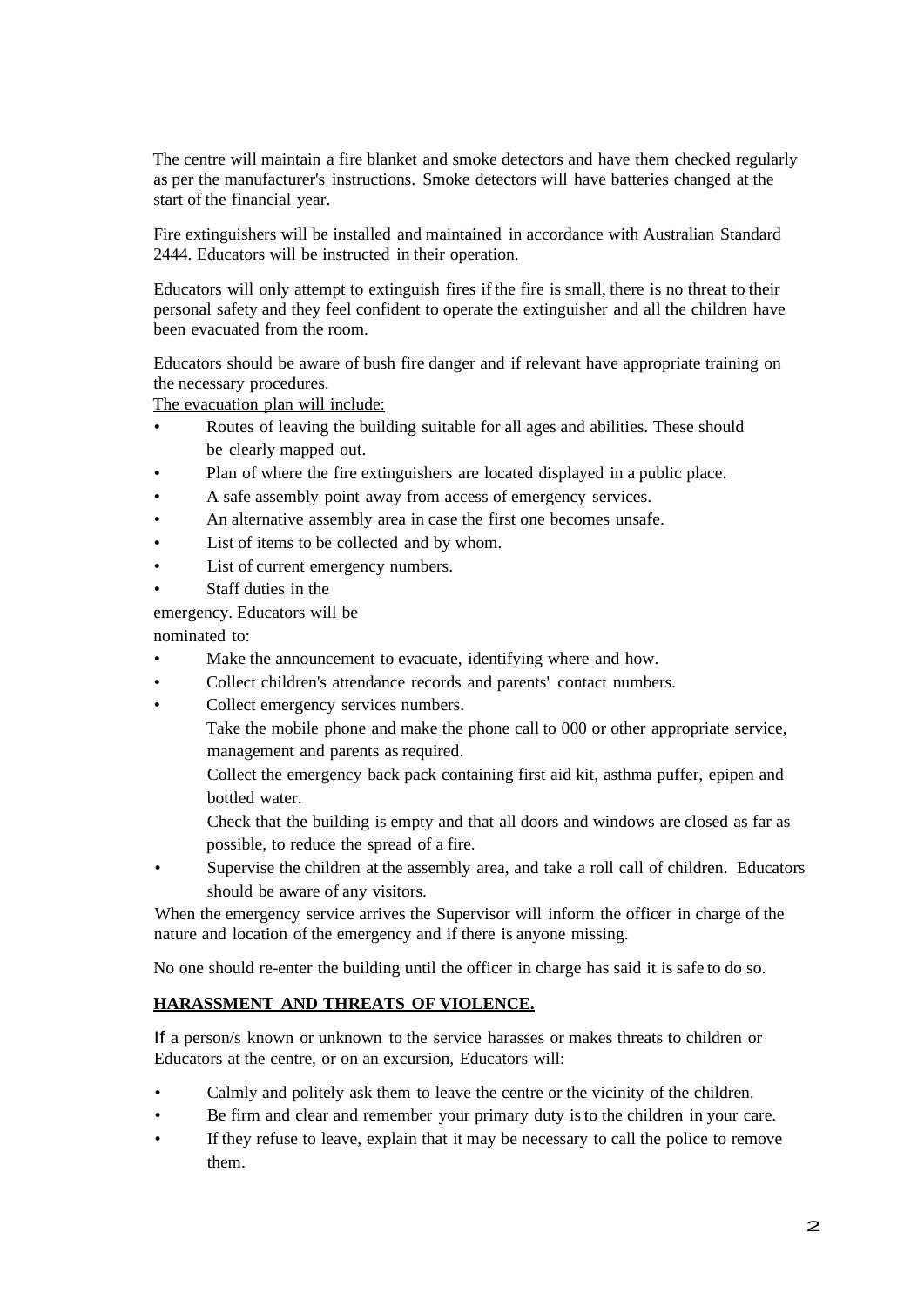The centre will maintain a fire blanket and smoke detectors and have them checked regularly as per the manufacturer's instructions. Smoke detectors will have batteries changed at the start of the financial year.

Fire extinguishers will be installed and maintained in accordance with Australian Standard 2444. Educators will be instructed in their operation.

Educators will only attempt to extinguish fires if the fire is small, there is no threat to their personal safety and they feel confident to operate the extinguisher and all the children have been evacuated from the room.

Educators should be aware of bush fire danger and if relevant have appropriate training on the necessary procedures.

The evacuation plan will include:

- Routes of leaving the building suitable for all ages and abilities. These should be clearly mapped out.
- Plan of where the fire extinguishers are located displayed in a public place.
- A safe assembly point away from access of emergency services.
- An alternative assembly area in case the first one becomes unsafe.
- List of items to be collected and by whom.
- List of current emergency numbers.
- Staff duties in the

emergency. Educators will be

nominated to:

- Make the announcement to evacuate, identifying where and how.
- Collect children's attendance records and parents' contact numbers.
- Collect emergency services numbers.

Take the mobile phone and make the phone call to 000 or other appropriate service, management and parents as required.

Collect the emergency back pack containing first aid kit, asthma puffer, epipen and bottled water.

Check that the building is empty and that all doors and windows are closed as far as possible, to reduce the spread of a fire.

Supervise the children at the assembly area, and take a roll call of children. Educators should be aware of any visitors.

When the emergency service arrives the Supervisor will inform the officer in charge of the nature and location of the emergency and if there is anyone missing.

No one should re-enter the building until the officer in charge has said it is safe to do so.

#### **HARASSMENT AND THREATS OF VIOLENCE.**

If a person/s known or unknown to the service harasses or makes threats to children or Educators at the centre, or on an excursion, Educators will:

- Calmly and politely ask them to leave the centre or the vicinity of the children.
- Be firm and clear and remember your primary duty is to the children in your care.
- If they refuse to leave, explain that it may be necessary to call the police to remove them.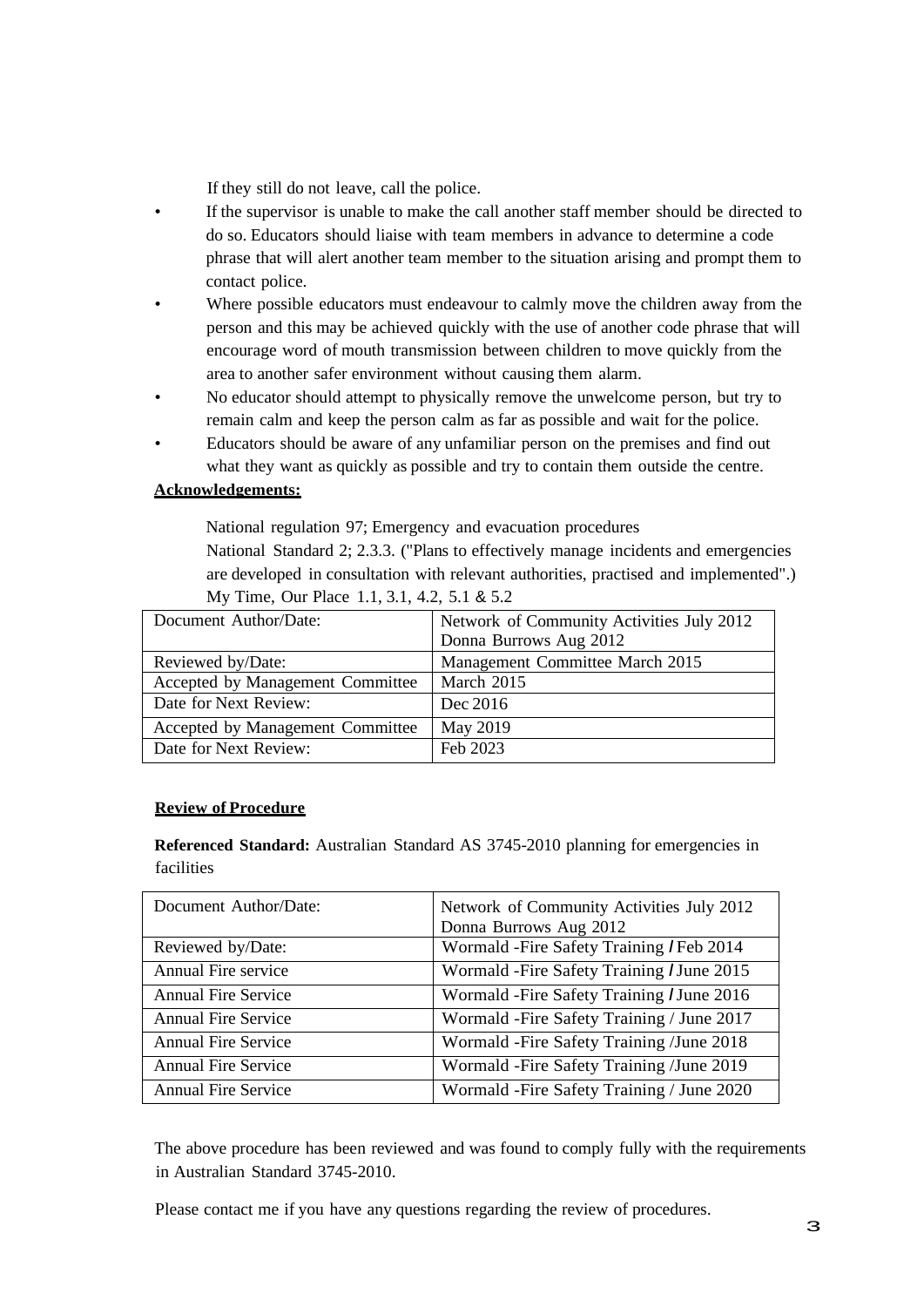If they still do not leave, call the police.

- If the supervisor is unable to make the call another staff member should be directed to do so. Educators should liaise with team members in advance to determine a code phrase that will alert another team member to the situation arising and prompt them to contact police.
- Where possible educators must endeavour to calmly move the children away from the person and this may be achieved quickly with the use of another code phrase that will encourage word of mouth transmission between children to move quickly from the area to another safer environment without causing them alarm.
- No educator should attempt to physically remove the unwelcome person, but try to remain calm and keep the person calm as far as possible and wait for the police.
- Educators should be aware of any unfamiliar person on the premises and find out what they want as quickly as possible and try to contain them outside the centre.

# **Acknowledgements:**

National regulation 97; Emergency and evacuation procedures

National Standard 2; 2.3.3. ("Plans to effectively manage incidents and emergencies are developed in consultation with relevant authorities, practised and implemented".)

| Document Author/Date:            | Network of Community Activities July 2012 |
|----------------------------------|-------------------------------------------|
|                                  | Donna Burrows Aug 2012                    |
| Reviewed by/Date:                | Management Committee March 2015           |
| Accepted by Management Committee | March 2015                                |
| Date for Next Review:            | Dec 2016                                  |
| Accepted by Management Committee | May 2019                                  |
| Date for Next Review:            | Feb 2023                                  |

My Time, Our Place 1.1, 3.1, 4.2, 5.1 & 5.2

#### **Review of Procedure**

**Referenced Standard:** Australian Standard AS 3745-2010 planning for emergencies in facilities

| Document Author/Date:      | Network of Community Activities July 2012<br>Donna Burrows Aug 2012 |
|----------------------------|---------------------------------------------------------------------|
| Reviewed by/Date:          | Wormald - Fire Safety Training / Feb 2014                           |
| Annual Fire service        | Wormald - Fire Safety Training / June 2015                          |
| <b>Annual Fire Service</b> | Wormald - Fire Safety Training / June 2016                          |
| <b>Annual Fire Service</b> | Wormald -Fire Safety Training / June 2017                           |
| <b>Annual Fire Service</b> | Wormald -Fire Safety Training /June 2018                            |
| <b>Annual Fire Service</b> | Wormald -Fire Safety Training /June 2019                            |
| <b>Annual Fire Service</b> | Wormald -Fire Safety Training / June 2020                           |

The above procedure has been reviewed and was found to comply fully with the requirements in Australian Standard 3745-2010.

Please contact me if you have any questions regarding the review of procedures.